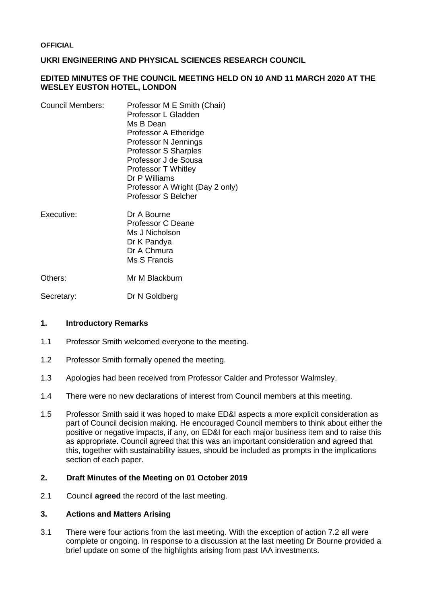# **UKRI ENGINEERING AND PHYSICAL SCIENCES RESEARCH COUNCIL**

## **EDITED MINUTES OF THE COUNCIL MEETING HELD ON 10 AND 11 MARCH 2020 AT THE WESLEY EUSTON HOTEL, LONDON**

| <b>Council Members:</b> | Professor M E Smith (Chair)     |
|-------------------------|---------------------------------|
|                         | Professor L Gladden             |
|                         | Ms B Dean                       |
|                         | Professor A Etheridge           |
|                         | Professor N Jennings            |
|                         | <b>Professor S Sharples</b>     |
|                         | Professor J de Sousa            |
|                         | Professor T Whitley             |
|                         | Dr P Williams                   |
|                         | Professor A Wright (Day 2 only) |
|                         | <b>Professor S Belcher</b>      |
|                         |                                 |

Executive: Dr A Bourne Professor C Deane Ms J Nicholson Dr K Pandya Dr A Chmura Ms S Francis

Others: Mr M Blackburn

Secretary: Dr N Goldberg

#### **1. Introductory Remarks**

- 1.1 Professor Smith welcomed everyone to the meeting.
- 1.2 Professor Smith formally opened the meeting.
- 1.3 Apologies had been received from Professor Calder and Professor Walmsley.
- 1.4 There were no new declarations of interest from Council members at this meeting.
- 1.5 Professor Smith said it was hoped to make ED&I aspects a more explicit consideration as part of Council decision making. He encouraged Council members to think about either the positive or negative impacts, if any, on ED&I for each major business item and to raise this as appropriate. Council agreed that this was an important consideration and agreed that this, together with sustainability issues, should be included as prompts in the implications section of each paper.

# **2. Draft Minutes of the Meeting on 01 October 2019**

2.1 Council **agreed** the record of the last meeting.

# **3. Actions and Matters Arising**

3.1 There were four actions from the last meeting. With the exception of action 7.2 all were complete or ongoing. In response to a discussion at the last meeting Dr Bourne provided a brief update on some of the highlights arising from past IAA investments.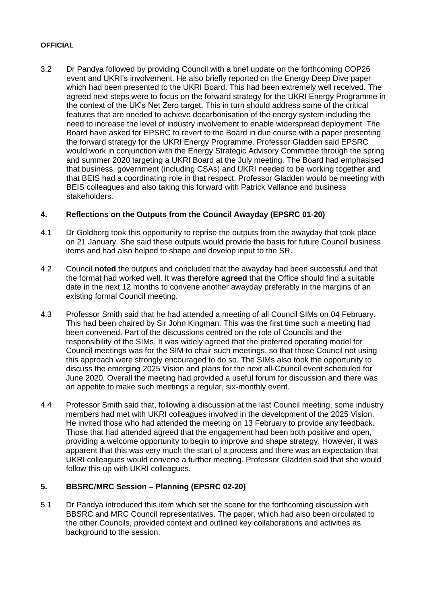3.2 Dr Pandya followed by providing Council with a brief update on the forthcoming COP26 event and UKRI's involvement. He also briefly reported on the Energy Deep Dive paper which had been presented to the UKRI Board. This had been extremely well received. The agreed next steps were to focus on the forward strategy for the UKRI Energy Programme in the context of the UK's Net Zero target. This in turn should address some of the critical features that are needed to achieve decarbonisation of the energy system including the need to increase the level of industry involvement to enable widerspread deployment. The Board have asked for EPSRC to revert to the Board in due course with a paper presenting the forward strategy for the UKRI Energy Programme. Professor Gladden said EPSRC would work in conjunction with the Energy Strategic Advisory Committee through the spring and summer 2020 targeting a UKRI Board at the July meeting. The Board had emphasised that business, government (including CSAs) and UKRI needed to be working together and that BEIS had a coordinating role in that respect. Professor Gladden would be meeting with BEIS colleagues and also taking this forward with Patrick Vallance and business stakeholders.

# **4. Reflections on the Outputs from the Council Awayday (EPSRC 01-20)**

- 4.1 Dr Goldberg took this opportunity to reprise the outputs from the awayday that took place on 21 January. She said these outputs would provide the basis for future Council business items and had also helped to shape and develop input to the SR.
- 4.2 Council **noted** the outputs and concluded that the awayday had been successful and that the format had worked well. It was therefore **agreed** that the Office should find a suitable date in the next 12 months to convene another awayday preferably in the margins of an existing formal Council meeting.
- 4.3 Professor Smith said that he had attended a meeting of all Council SIMs on 04 February. This had been chaired by Sir John Kingman. This was the first time such a meeting had been convened. Part of the discussions centred on the role of Councils and the responsibility of the SIMs. It was widely agreed that the preferred operating model for Council meetings was for the SIM to chair such meetings, so that those Council not using this approach were strongly encouraged to do so. The SIMs also took the opportunity to discuss the emerging 2025 Vision and plans for the next all-Council event scheduled for June 2020. Overall the meeting had provided a useful forum for discussion and there was an appetite to make such meetings a regular, six-monthly event.
- 4.4 Professor Smith said that, following a discussion at the last Council meeting, some industry members had met with UKRI colleagues involved in the development of the 2025 Vision. He invited those who had attended the meeting on 13 February to provide any feedback. Those that had attended agreed that the engagement had been both positive and open, providing a welcome opportunity to begin to improve and shape strategy. However, it was apparent that this was very much the start of a process and there was an expectation that UKRI colleagues would convene a further meeting. Professor Gladden said that she would follow this up with UKRI colleagues.

# **5. BBSRC/MRC Session – Planning (EPSRC 02-20)**

5.1 Dr Pandya introduced this item which set the scene for the forthcoming discussion with BBSRC and MRC Council representatives. The paper, which had also been circulated to the other Councils, provided context and outlined key collaborations and activities as background to the session.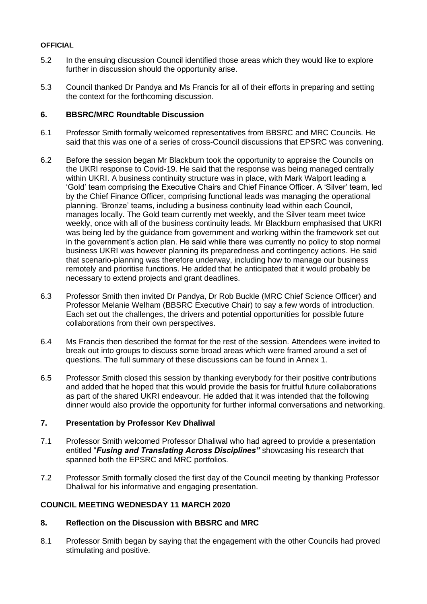- 5.2 In the ensuing discussion Council identified those areas which they would like to explore further in discussion should the opportunity arise.
- 5.3 Council thanked Dr Pandya and Ms Francis for all of their efforts in preparing and setting the context for the forthcoming discussion.

## **6. BBSRC/MRC Roundtable Discussion**

- 6.1 Professor Smith formally welcomed representatives from BBSRC and MRC Councils. He said that this was one of a series of cross-Council discussions that EPSRC was convening.
- 6.2 Before the session began Mr Blackburn took the opportunity to appraise the Councils on the UKRI response to Covid-19. He said that the response was being managed centrally within UKRI. A business continuity structure was in place, with Mark Walport leading a 'Gold' team comprising the Executive Chairs and Chief Finance Officer. A 'Silver' team, led by the Chief Finance Officer, comprising functional leads was managing the operational planning. 'Bronze' teams, including a business continuity lead within each Council, manages locally. The Gold team currently met weekly, and the Silver team meet twice weekly, once with all of the business continuity leads. Mr Blackburn emphasised that UKRI was being led by the guidance from government and working within the framework set out in the government's action plan. He said while there was currently no policy to stop normal business UKRI was however planning its preparedness and contingency actions. He said that scenario-planning was therefore underway, including how to manage our business remotely and prioritise functions. He added that he anticipated that it would probably be necessary to extend projects and grant deadlines.
- 6.3 Professor Smith then invited Dr Pandya, Dr Rob Buckle (MRC Chief Science Officer) and Professor Melanie Welham (BBSRC Executive Chair) to say a few words of introduction. Each set out the challenges, the drivers and potential opportunities for possible future collaborations from their own perspectives.
- 6.4 Ms Francis then described the format for the rest of the session. Attendees were invited to break out into groups to discuss some broad areas which were framed around a set of questions. The full summary of these discussions can be found in Annex 1.
- 6.5 Professor Smith closed this session by thanking everybody for their positive contributions and added that he hoped that this would provide the basis for fruitful future collaborations as part of the shared UKRI endeavour. He added that it was intended that the following dinner would also provide the opportunity for further informal conversations and networking.

# **7. Presentation by Professor Kev Dhaliwal**

- 7.1 Professor Smith welcomed Professor Dhaliwal who had agreed to provide a presentation entitled "*Fusing and Translating Across Disciplines"* showcasing his research that spanned both the EPSRC and MRC portfolios.
- 7.2 Professor Smith formally closed the first day of the Council meeting by thanking Professor Dhaliwal for his informative and engaging presentation.

# **COUNCIL MEETING WEDNESDAY 11 MARCH 2020**

# **8. Reflection on the Discussion with BBSRC and MRC**

8.1 Professor Smith began by saying that the engagement with the other Councils had proved stimulating and positive.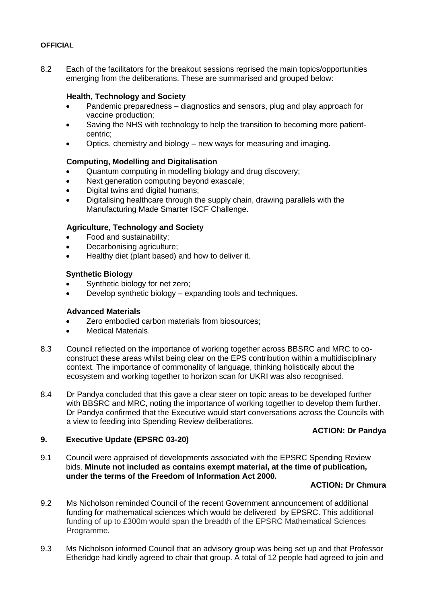8.2 Each of the facilitators for the breakout sessions reprised the main topics/opportunities emerging from the deliberations. These are summarised and grouped below:

# **Health, Technology and Society**

- Pandemic preparedness diagnostics and sensors, plug and play approach for vaccine production;
- Saving the NHS with technology to help the transition to becoming more patientcentric;
- Optics, chemistry and biology new ways for measuring and imaging.

## **Computing, Modelling and Digitalisation**

- Quantum computing in modelling biology and drug discovery;
- Next generation computing beyond exascale;
- Digital twins and digital humans;
- Digitalising healthcare through the supply chain, drawing parallels with the Manufacturing Made Smarter ISCF Challenge.

## **Agriculture, Technology and Society**

- Food and sustainability;
- Decarbonising agriculture;
- Healthy diet (plant based) and how to deliver it.

## **Synthetic Biology**

- Synthetic biology for net zero;
- Develop synthetic biology expanding tools and techniques.

#### **Advanced Materials**

- Zero embodied carbon materials from biosources;
- Medical Materials.
- 8.3 Council reflected on the importance of working together across BBSRC and MRC to coconstruct these areas whilst being clear on the EPS contribution within a multidisciplinary context. The importance of commonality of language, thinking holistically about the ecosystem and working together to horizon scan for UKRI was also recognised.
- 8.4 Dr Pandya concluded that this gave a clear steer on topic areas to be developed further with BBSRC and MRC, noting the importance of working together to develop them further. Dr Pandya confirmed that the Executive would start conversations across the Councils with a view to feeding into Spending Review deliberations.

### **ACTION: Dr Pandya**

### **9. Executive Update (EPSRC 03-20)**

9.1 Council were appraised of developments associated with the EPSRC Spending Review bids. **Minute not included as contains exempt material, at the time of publication, under the terms of the Freedom of Information Act 2000.**

#### **ACTION: Dr Chmura**

- 9.2 Ms Nicholson reminded Council of the recent Government announcement of additional funding for mathematical sciences which would be delivered by EPSRC. This additional funding of up to £300m would span the breadth of the EPSRC Mathematical Sciences Programme.
- 9.3 Ms Nicholson informed Council that an advisory group was being set up and that Professor Etheridge had kindly agreed to chair that group. A total of 12 people had agreed to join and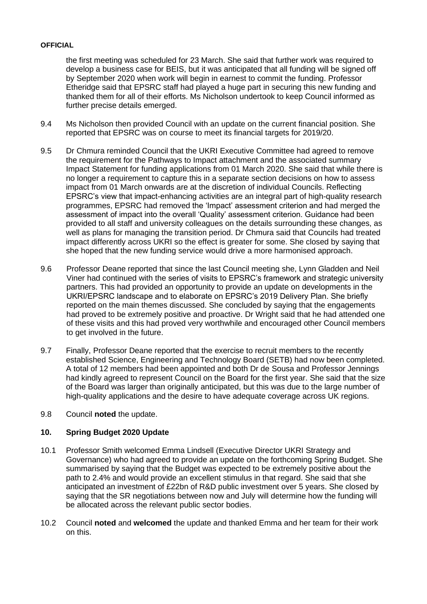the first meeting was scheduled for 23 March. She said that further work was required to develop a business case for BEIS, but it was anticipated that all funding will be signed off by September 2020 when work will begin in earnest to commit the funding. Professor Etheridge said that EPSRC staff had played a huge part in securing this new funding and thanked them for all of their efforts. Ms Nicholson undertook to keep Council informed as further precise details emerged.

- 9.4 Ms Nicholson then provided Council with an update on the current financial position. She reported that EPSRC was on course to meet its financial targets for 2019/20.
- 9.5 Dr Chmura reminded Council that the UKRI Executive Committee had agreed to remove the requirement for the Pathways to Impact attachment and the associated summary Impact Statement for funding applications from 01 March 2020. She said that while there is no longer a requirement to capture this in a separate section decisions on how to assess impact from 01 March onwards are at the discretion of individual Councils. Reflecting EPSRC's view that impact-enhancing activities are an integral part of high-quality research programmes, EPSRC had removed the 'Impact' assessment criterion and had merged the assessment of impact into the overall 'Quality' assessment criterion. Guidance had been provided to all staff and university colleagues on the details surrounding these changes, as well as plans for managing the transition period. Dr Chmura said that Councils had treated impact differently across UKRI so the effect is greater for some. She closed by saying that she hoped that the new funding service would drive a more harmonised approach.
- 9.6 Professor Deane reported that since the last Council meeting she, Lynn Gladden and Neil Viner had continued with the series of visits to EPSRC's framework and strategic university partners. This had provided an opportunity to provide an update on developments in the UKRI/EPSRC landscape and to elaborate on EPSRC's 2019 Delivery Plan. She briefly reported on the main themes discussed. She concluded by saying that the engagements had proved to be extremely positive and proactive. Dr Wright said that he had attended one of these visits and this had proved very worthwhile and encouraged other Council members to get involved in the future.
- 9.7 Finally, Professor Deane reported that the exercise to recruit members to the recently established Science, Engineering and Technology Board (SETB) had now been completed. A total of 12 members had been appointed and both Dr de Sousa and Professor Jennings had kindly agreed to represent Council on the Board for the first year. She said that the size of the Board was larger than originally anticipated, but this was due to the large number of high-quality applications and the desire to have adequate coverage across UK regions.
- 9.8 Council **noted** the update.

# **10. Spring Budget 2020 Update**

- 10.1 Professor Smith welcomed Emma Lindsell (Executive Director UKRI Strategy and Governance) who had agreed to provide an update on the forthcoming Spring Budget. She summarised by saying that the Budget was expected to be extremely positive about the path to 2.4% and would provide an excellent stimulus in that regard. She said that she anticipated an investment of £22bn of R&D public investment over 5 years. She closed by saying that the SR negotiations between now and July will determine how the funding will be allocated across the relevant public sector bodies.
- 10.2 Council **noted** and **welcomed** the update and thanked Emma and her team for their work on this.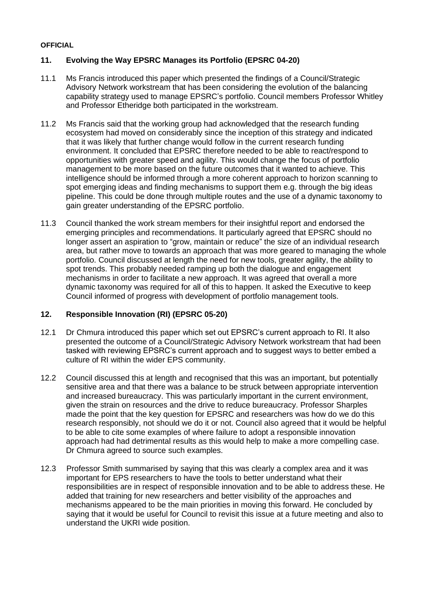# **11. Evolving the Way EPSRC Manages its Portfolio (EPSRC 04-20)**

- 11.1 Ms Francis introduced this paper which presented the findings of a Council/Strategic Advisory Network workstream that has been considering the evolution of the balancing capability strategy used to manage EPSRC's portfolio. Council members Professor Whitley and Professor Etheridge both participated in the workstream.
- 11.2 Ms Francis said that the working group had acknowledged that the research funding ecosystem had moved on considerably since the inception of this strategy and indicated that it was likely that further change would follow in the current research funding environment. It concluded that EPSRC therefore needed to be able to react/respond to opportunities with greater speed and agility. This would change the focus of portfolio management to be more based on the future outcomes that it wanted to achieve. This intelligence should be informed through a more coherent approach to horizon scanning to spot emerging ideas and finding mechanisms to support them e.g. through the big ideas pipeline. This could be done through multiple routes and the use of a dynamic taxonomy to gain greater understanding of the EPSRC portfolio.
- 11.3 Council thanked the work stream members for their insightful report and endorsed the emerging principles and recommendations. It particularly agreed that EPSRC should no longer assert an aspiration to "grow, maintain or reduce" the size of an individual research area, but rather move to towards an approach that was more geared to managing the whole portfolio. Council discussed at length the need for new tools, greater agility, the ability to spot trends. This probably needed ramping up both the dialogue and engagement mechanisms in order to facilitate a new approach. It was agreed that overall a more dynamic taxonomy was required for all of this to happen. It asked the Executive to keep Council informed of progress with development of portfolio management tools.

# **12. Responsible Innovation (RI) (EPSRC 05-20)**

- 12.1 Dr Chmura introduced this paper which set out EPSRC's current approach to RI. It also presented the outcome of a Council/Strategic Advisory Network workstream that had been tasked with reviewing EPSRC's current approach and to suggest ways to better embed a culture of RI within the wider EPS community.
- 12.2 Council discussed this at length and recognised that this was an important, but potentially sensitive area and that there was a balance to be struck between appropriate intervention and increased bureaucracy. This was particularly important in the current environment, given the strain on resources and the drive to reduce bureaucracy. Professor Sharples made the point that the key question for EPSRC and researchers was how do we do this research responsibly, not should we do it or not. Council also agreed that it would be helpful to be able to cite some examples of where failure to adopt a responsible innovation approach had had detrimental results as this would help to make a more compelling case. Dr Chmura agreed to source such examples.
- 12.3 Professor Smith summarised by saying that this was clearly a complex area and it was important for EPS researchers to have the tools to better understand what their responsibilities are in respect of responsible innovation and to be able to address these. He added that training for new researchers and better visibility of the approaches and mechanisms appeared to be the main priorities in moving this forward. He concluded by saying that it would be useful for Council to revisit this issue at a future meeting and also to understand the UKRI wide position.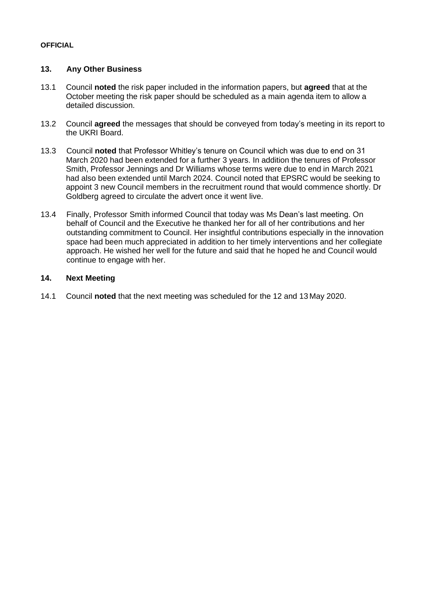# **13. Any Other Business**

- 13.1 Council **noted** the risk paper included in the information papers, but **agreed** that at the October meeting the risk paper should be scheduled as a main agenda item to allow a detailed discussion.
- 13.2 Council **agreed** the messages that should be conveyed from today's meeting in its report to the UKRI Board.
- 13.3 Council **noted** that Professor Whitley's tenure on Council which was due to end on 31 March 2020 had been extended for a further 3 years. In addition the tenures of Professor Smith, Professor Jennings and Dr Williams whose terms were due to end in March 2021 had also been extended until March 2024. Council noted that EPSRC would be seeking to appoint 3 new Council members in the recruitment round that would commence shortly. Dr Goldberg agreed to circulate the advert once it went live.
- 13.4 Finally, Professor Smith informed Council that today was Ms Dean's last meeting. On behalf of Council and the Executive he thanked her for all of her contributions and her outstanding commitment to Council. Her insightful contributions especially in the innovation space had been much appreciated in addition to her timely interventions and her collegiate approach. He wished her well for the future and said that he hoped he and Council would continue to engage with her.

## **14. Next Meeting**

14.1 Council **noted** that the next meeting was scheduled for the 12 and 13 May 2020.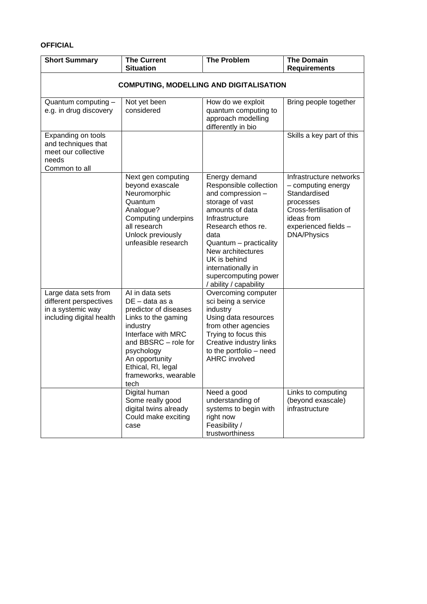| <b>Short Summary</b>                                                                            | <b>The Current</b><br><b>Situation</b>                                                                                                                                                                                                         | <b>The Problem</b>                                                                                                                                                                                                                                                                        | <b>The Domain</b><br><b>Requirements</b>                                                                                                                         |
|-------------------------------------------------------------------------------------------------|------------------------------------------------------------------------------------------------------------------------------------------------------------------------------------------------------------------------------------------------|-------------------------------------------------------------------------------------------------------------------------------------------------------------------------------------------------------------------------------------------------------------------------------------------|------------------------------------------------------------------------------------------------------------------------------------------------------------------|
| <b>COMPUTING, MODELLING AND DIGITALISATION</b>                                                  |                                                                                                                                                                                                                                                |                                                                                                                                                                                                                                                                                           |                                                                                                                                                                  |
| Quantum computing -<br>e.g. in drug discovery                                                   | Not yet been<br>considered                                                                                                                                                                                                                     | How do we exploit<br>quantum computing to<br>approach modelling<br>differently in bio                                                                                                                                                                                                     | Bring people together                                                                                                                                            |
| Expanding on tools<br>and techniques that<br>meet our collective<br>needs<br>Common to all      |                                                                                                                                                                                                                                                |                                                                                                                                                                                                                                                                                           | Skills a key part of this                                                                                                                                        |
|                                                                                                 | Next gen computing<br>beyond exascale<br>Neuromorphic<br>Quantum<br>Analogue?<br>Computing underpins<br>all research<br>Unlock previously<br>unfeasible research                                                                               | Energy demand<br>Responsible collection<br>and compression -<br>storage of vast<br>amounts of data<br>Infrastructure<br>Research ethos re.<br>data<br>Quantum - practicality<br>New architectures<br>UK is behind<br>internationally in<br>supercomputing power<br>/ ability / capability | Infrastructure networks<br>- computing energy<br>Standardised<br>processes<br>Cross-fertilisation of<br>ideas from<br>experienced fields -<br><b>DNA/Physics</b> |
| Large data sets from<br>different perspectives<br>in a systemic way<br>including digital health | $\overline{AI}$ in data sets<br>DE – data as a<br>predictor of diseases<br>Links to the gaming<br>industry<br>Interface with MRC<br>and BBSRC - role for<br>psychology<br>An opportunity<br>Ethical, RI, legal<br>frameworks, wearable<br>tech | Overcoming computer<br>sci being a service<br>industry<br>Using data resources<br>from other agencies<br>Trying to focus this<br>Creative industry links<br>to the portfolio - need<br><b>AHRC</b> involved                                                                               |                                                                                                                                                                  |
|                                                                                                 | Digital human<br>Some really good<br>digital twins already<br>Could make exciting<br>case                                                                                                                                                      | Need a good<br>understanding of<br>systems to begin with<br>right now<br>Feasibility /<br>trustworthiness                                                                                                                                                                                 | Links to computing<br>(beyond exascale)<br>infrastructure                                                                                                        |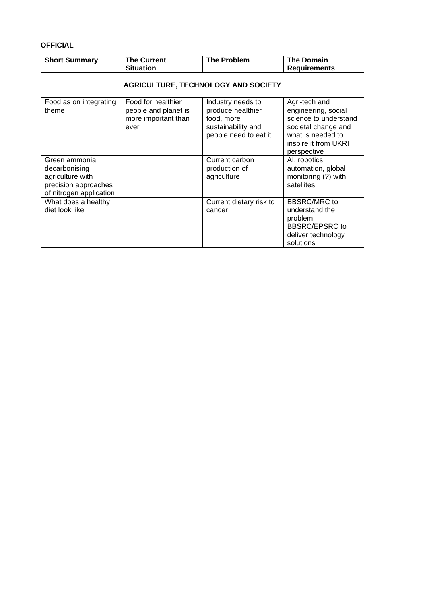| <b>Short Summary</b>                                                                                  | <b>The Current</b><br><b>Situation</b>                                    | <b>The Problem</b>                                                                                  | <b>The Domain</b><br><b>Requirements</b>                                                                                                         |
|-------------------------------------------------------------------------------------------------------|---------------------------------------------------------------------------|-----------------------------------------------------------------------------------------------------|--------------------------------------------------------------------------------------------------------------------------------------------------|
| <b>AGRICULTURE, TECHNOLOGY AND SOCIETY</b>                                                            |                                                                           |                                                                                                     |                                                                                                                                                  |
| Food as on integrating<br>theme                                                                       | Food for healthier<br>people and planet is<br>more important than<br>ever | Industry needs to<br>produce healthier<br>food, more<br>sustainability and<br>people need to eat it | Agri-tech and<br>engineering, social<br>science to understand<br>societal change and<br>what is needed to<br>inspire it from UKRI<br>perspective |
| Green ammonia<br>decarbonising<br>agriculture with<br>precision approaches<br>of nitrogen application |                                                                           | Current carbon<br>production of<br>agriculture                                                      | AI, robotics,<br>automation, global<br>monitoring (?) with<br>satellites                                                                         |
| What does a healthy<br>diet look like                                                                 |                                                                           | Current dietary risk to<br>cancer                                                                   | <b>BBSRC/MRC</b> to<br>understand the<br>problem<br><b>BBSRC/EPSRC to</b><br>deliver technology<br>solutions                                     |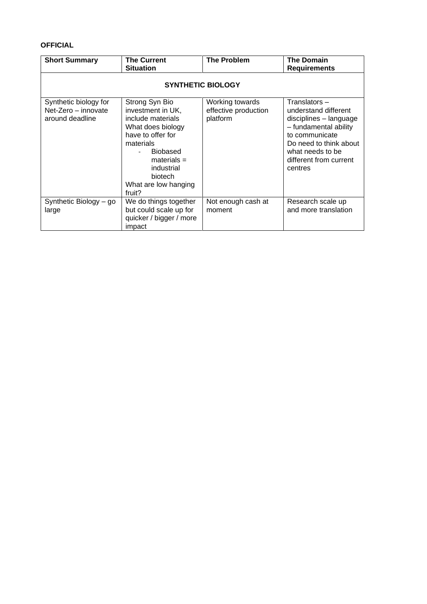| <b>Short Summary</b>                                            | <b>The Current</b><br><b>Situation</b>                                                                                                                                                                         | <b>The Problem</b>                                  | <b>The Domain</b><br><b>Requirements</b>                                                                                                                                                      |
|-----------------------------------------------------------------|----------------------------------------------------------------------------------------------------------------------------------------------------------------------------------------------------------------|-----------------------------------------------------|-----------------------------------------------------------------------------------------------------------------------------------------------------------------------------------------------|
| <b>SYNTHETIC BIOLOGY</b>                                        |                                                                                                                                                                                                                |                                                     |                                                                                                                                                                                               |
| Synthetic biology for<br>Net-Zero - innovate<br>around deadline | Strong Syn Bio<br>investment in UK,<br>include materials<br>What does biology<br>have to offer for<br>materials<br><b>Biobased</b><br>$materials =$<br>industrial<br>biotech<br>What are low hanging<br>fruit? | Working towards<br>effective production<br>platform | Translators -<br>understand different<br>disciplines - language<br>- fundamental ability<br>to communicate<br>Do need to think about<br>what needs to be<br>different from current<br>centres |
| Synthetic Biology - go<br>large                                 | We do things together<br>but could scale up for<br>quicker / bigger / more<br>impact                                                                                                                           | Not enough cash at<br>moment                        | Research scale up<br>and more translation                                                                                                                                                     |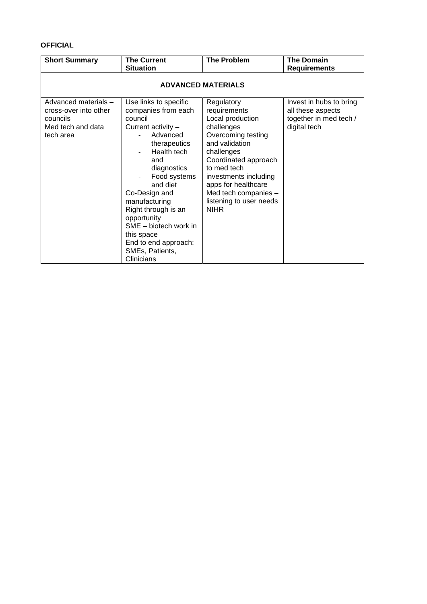| <b>Short Summary</b>                                                                        | <b>The Current</b><br><b>Situation</b>                                                                                                                                                                                                                                                                                                             | <b>The Problem</b>                                                                                                                                                                                                                                                          | <b>The Domain</b><br><b>Requirements</b>                                               |
|---------------------------------------------------------------------------------------------|----------------------------------------------------------------------------------------------------------------------------------------------------------------------------------------------------------------------------------------------------------------------------------------------------------------------------------------------------|-----------------------------------------------------------------------------------------------------------------------------------------------------------------------------------------------------------------------------------------------------------------------------|----------------------------------------------------------------------------------------|
| <b>ADVANCED MATERIALS</b>                                                                   |                                                                                                                                                                                                                                                                                                                                                    |                                                                                                                                                                                                                                                                             |                                                                                        |
| Advanced materials -<br>cross-over into other<br>councils<br>Med tech and data<br>tech area | Use links to specific<br>companies from each<br>council<br>Current activity -<br>Advanced<br>therapeutics<br>Health tech<br>and<br>diagnostics<br>Food systems<br>and diet<br>Co-Design and<br>manufacturing<br>Right through is an<br>opportunity<br>SME - biotech work in<br>this space<br>End to end approach:<br>SMEs, Patients,<br>Clinicians | Regulatory<br>requirements<br>Local production<br>challenges<br>Overcoming testing<br>and validation<br>challenges<br>Coordinated approach<br>to med tech<br>investments including<br>apps for healthcare<br>Med tech companies -<br>listening to user needs<br><b>NIHR</b> | Invest in hubs to bring<br>all these aspects<br>together in med tech /<br>digital tech |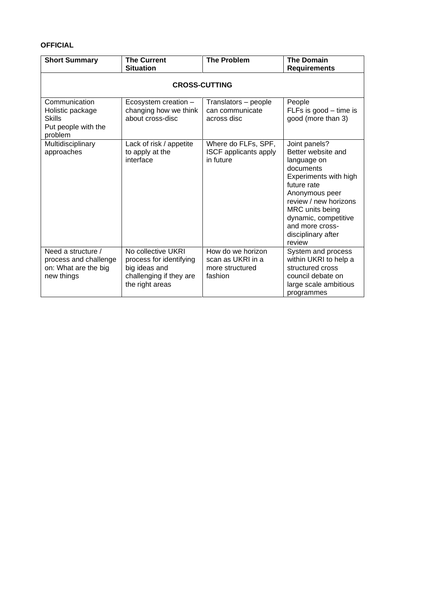| <b>Short Summary</b>                                                                 | <b>The Current</b><br><b>Situation</b>                                                                       | <b>The Problem</b>                                                   | <b>The Domain</b><br><b>Requirements</b>                                                                                                                                                                                                         |
|--------------------------------------------------------------------------------------|--------------------------------------------------------------------------------------------------------------|----------------------------------------------------------------------|--------------------------------------------------------------------------------------------------------------------------------------------------------------------------------------------------------------------------------------------------|
| <b>CROSS-CUTTING</b>                                                                 |                                                                                                              |                                                                      |                                                                                                                                                                                                                                                  |
| Communication<br>Holistic package<br><b>Skills</b><br>Put people with the<br>problem | Ecosystem creation -<br>changing how we think<br>about cross-disc                                            | Translators - people<br>can communicate<br>across disc               | People<br>FLFs is good $-$ time is<br>good (more than 3)                                                                                                                                                                                         |
| Multidisciplinary<br>approaches                                                      | Lack of risk / appetite<br>to apply at the<br>interface                                                      | Where do FLFs, SPF,<br><b>ISCF</b> applicants apply<br>in future     | Joint panels?<br>Better website and<br>language on<br>documents<br>Experiments with high<br>future rate<br>Anonymous peer<br>review / new horizons<br>MRC units being<br>dynamic, competitive<br>and more cross-<br>disciplinary after<br>review |
| Need a structure /<br>process and challenge<br>on: What are the big<br>new things    | No collective UKRI<br>process for identifying<br>big ideas and<br>challenging if they are<br>the right areas | How do we horizon<br>scan as UKRI in a<br>more structured<br>fashion | System and process<br>within UKRI to help a<br>structured cross<br>council debate on<br>large scale ambitious<br>programmes                                                                                                                      |